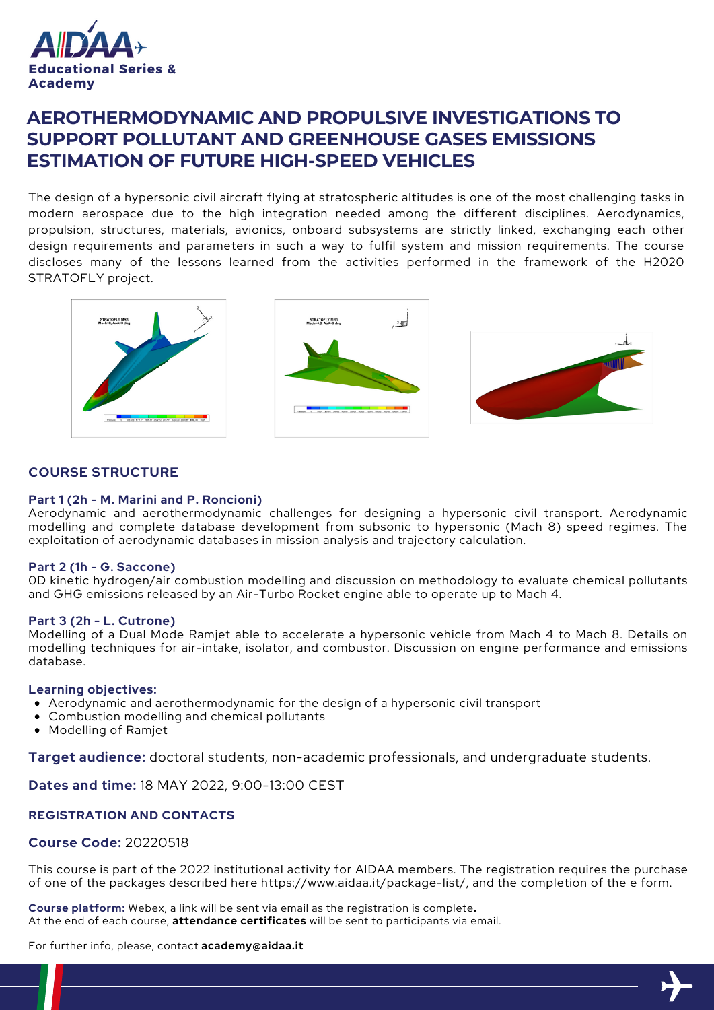

# **AEROTHERMODYNAMIC AND PROPULSIVE INVESTIGATIONS TO SUPPORT POLLUTANT AND GREENHOUSE GASES EMISSIONS ESTIMATION OF FUTURE HIGH-SPEED VEHICLES**

The design of a hypersonic civil aircraft flying at stratospheric altitudes is one of the most challenging tasks in modern aerospace due to the high integration needed among the different disciplines. Aerodynamics, propulsion, structures, materials, avionics, onboard subsystems are strictly linked, exchanging each other design requirements and parameters in such a way to fulfil system and mission requirements. The course discloses many of the lessons learned from the activities performed in the framework of the H2020 STRATOFLY project.



### **COURSE STRUCTURE**

#### **Part 1 (2h - M. Marini and P. Roncioni)**

Aerodynamic and aerothermodynamic challenges for designing a hypersonic civil transport. Aerodynamic modelling and complete database development from subsonic to hypersonic (Mach 8) speed regimes. The exploitation of aerodynamic databases in mission analysis and trajectory calculation.

#### **Part 2 (1h - G. Saccone)**

0D kinetic hydrogen/air combustion modelling and discussion on methodology to evaluate chemical pollutants and GHG emissions released by an Air-Turbo Rocket engine able to operate up to Mach 4.

#### **Part 3 (2h - L. Cutrone)**

Modelling of a Dual Mode Ramjet able to accelerate a hypersonic vehicle from Mach 4 to Mach 8. Details on modelling techniques for air-intake, isolator, and combustor. Discussion on engine performance and emissions database.

#### **Learning objectives:**

- Aerodynamic and aerothermodynamic for the design of a hypersonic civil transport
- Combustion modelling and chemical pollutants
- Modelling of Ramjet

**Target audience:** doctoral students, non-academic professionals, and undergraduate students.

**Dates and time:** 18 MAY 2022, 9:00-13:00 CEST

#### **REGISTRATION AND CONTACTS**

#### **Course Code:** 20220518

This course is part of the 2022 institutional activity for AIDAA members. The registration requires the purchase of one of the packages described here https://www.aidaa.it/package-list/, and the completion of the e form.

**Course platform:** Webex, a link will be sent via email as the registration is complete**.** At the end of each course, **attendance certificates** will be sent to participants via email.

For further info, please, contact **academy@aidaa.it**